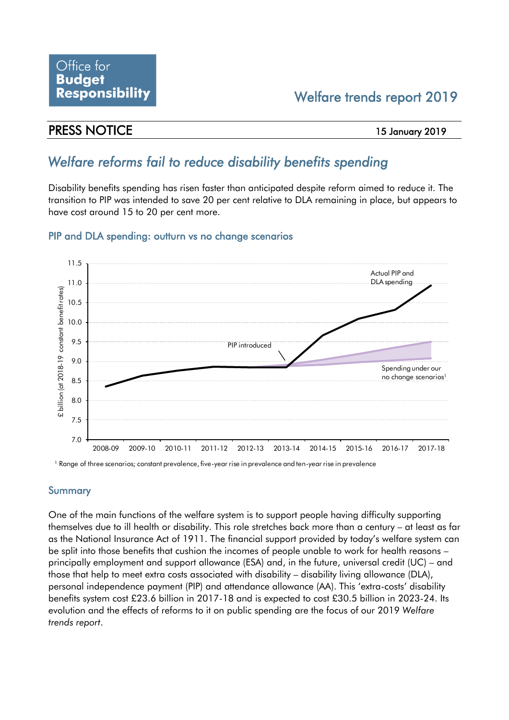## Welfare trends report 2019

## PRESS NOTICE 15 January 2019

# *Welfare reforms fail to reduce disability benefits spending*

Disability benefits spending has risen faster than anticipated despite reform aimed to reduce it. The transition to PIP was intended to save 20 per cent relative to DLA remaining in place, but appears to have cost around 15 to 20 per cent more.

## PIP and DLA spending: outturn vs no change scenarios



<sup>1</sup> Range of three scenarios; constant prevalence, five-year rise in prevalence and ten-year rise in prevalence

### Summary

One of the main functions of the welfare system is to support people having difficulty supporting themselves due to ill health or disability. This role stretches back more than a century – at least as far as the National Insurance Act of 1911. The financial support provided by today's welfare system can be split into those benefits that cushion the incomes of people unable to work for health reasons – principally employment and support allowance (ESA) and, in the future, universal credit (UC) – and those that help to meet extra costs associated with disability – disability living allowance (DLA), personal independence payment (PIP) and attendance allowance (AA). This 'extra-costs' disability benefits system cost £23.6 billion in 2017-18 and is expected to cost £30.5 billion in 2023-24. Its evolution and the effects of reforms to it on public spending are the focus of our 2019 *Welfare trends report*.